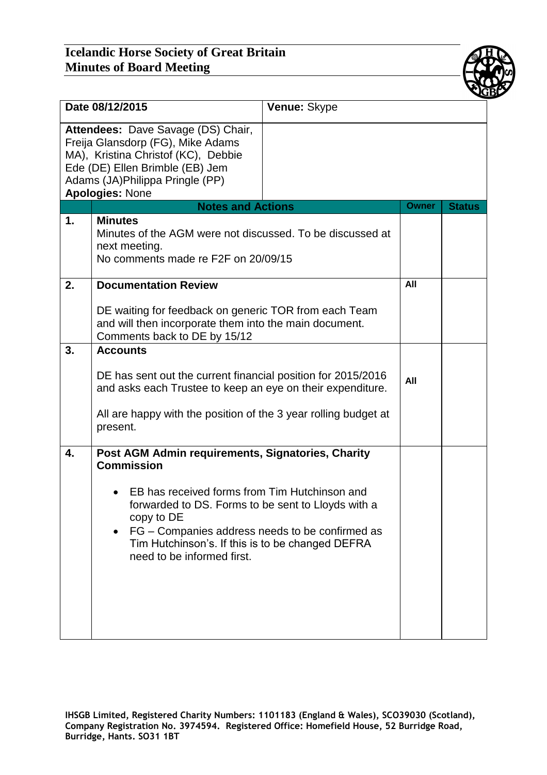## **Icelandic Horse Society of Great Britain Minutes of Board Meeting**



| Date 08/12/2015 |                                                                                                                                                                                                                                                                                                                                  | Venue: Skype |              |               |
|-----------------|----------------------------------------------------------------------------------------------------------------------------------------------------------------------------------------------------------------------------------------------------------------------------------------------------------------------------------|--------------|--------------|---------------|
|                 | Attendees: Dave Savage (DS) Chair,<br>Freija Glansdorp (FG), Mike Adams<br>MA), Kristina Christof (KC), Debbie<br>Ede (DE) Ellen Brimble (EB) Jem<br>Adams (JA)Philippa Pringle (PP)<br><b>Apologies: None</b>                                                                                                                   |              |              |               |
|                 | <b>Notes and Actions</b>                                                                                                                                                                                                                                                                                                         |              | <b>Owner</b> | <b>Status</b> |
| 1.              | <b>Minutes</b><br>Minutes of the AGM were not discussed. To be discussed at<br>next meeting.<br>No comments made re F2F on 20/09/15                                                                                                                                                                                              |              |              |               |
| 2.              | <b>Documentation Review</b>                                                                                                                                                                                                                                                                                                      |              | All          |               |
|                 | DE waiting for feedback on generic TOR from each Team<br>and will then incorporate them into the main document.<br>Comments back to DE by 15/12                                                                                                                                                                                  |              |              |               |
| 3.              | <b>Accounts</b>                                                                                                                                                                                                                                                                                                                  |              |              |               |
|                 | DE has sent out the current financial position for 2015/2016<br>and asks each Trustee to keep an eye on their expenditure.<br>All are happy with the position of the 3 year rolling budget at<br>present.                                                                                                                        |              | All          |               |
| 4.              | Post AGM Admin requirements, Signatories, Charity<br><b>Commission</b><br>EB has received forms from Tim Hutchinson and<br>forwarded to DS. Forms to be sent to Lloyds with a<br>copy to DE<br>FG - Companies address needs to be confirmed as<br>Tim Hutchinson's. If this is to be changed DEFRA<br>need to be informed first. |              |              |               |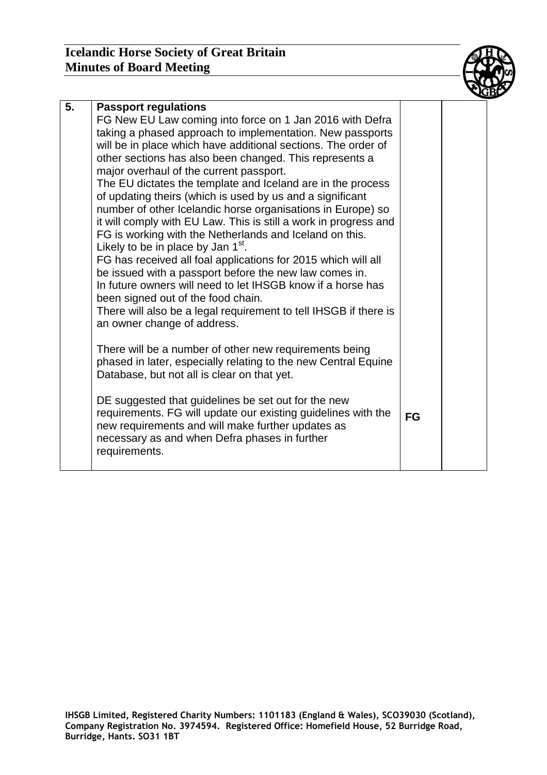## **Icelandic Horse Society of Great Britain Minutes of Board Meeting**

| 5. | <b>Passport regulations</b><br>FG New EU Law coming into force on 1 Jan 2016 with Defra<br>taking a phased approach to implementation. New passports<br>will be in place which have additional sections. The order of<br>other sections has also been changed. This represents a<br>major overhaul of the current passport.<br>The EU dictates the template and Iceland are in the process<br>of updating theirs (which is used by us and a significant<br>number of other Icelandic horse organisations in Europe) so<br>it will comply with EU Law. This is still a work in progress and<br>FG is working with the Netherlands and Iceland on this.<br>Likely to be in place by Jan $1st$ .<br>FG has received all foal applications for 2015 which will all<br>be issued with a passport before the new law comes in.<br>In future owners will need to let IHSGB know if a horse has<br>been signed out of the food chain.<br>There will also be a legal requirement to tell IHSGB if there is<br>an owner change of address. |           |  |
|----|----------------------------------------------------------------------------------------------------------------------------------------------------------------------------------------------------------------------------------------------------------------------------------------------------------------------------------------------------------------------------------------------------------------------------------------------------------------------------------------------------------------------------------------------------------------------------------------------------------------------------------------------------------------------------------------------------------------------------------------------------------------------------------------------------------------------------------------------------------------------------------------------------------------------------------------------------------------------------------------------------------------------------------|-----------|--|
|    | There will be a number of other new requirements being<br>phased in later, especially relating to the new Central Equine<br>Database, but not all is clear on that yet.<br>DE suggested that guidelines be set out for the new<br>requirements. FG will update our existing guidelines with the<br>new requirements and will make further updates as<br>necessary as and when Defra phases in further<br>requirements.                                                                                                                                                                                                                                                                                                                                                                                                                                                                                                                                                                                                           | <b>FG</b> |  |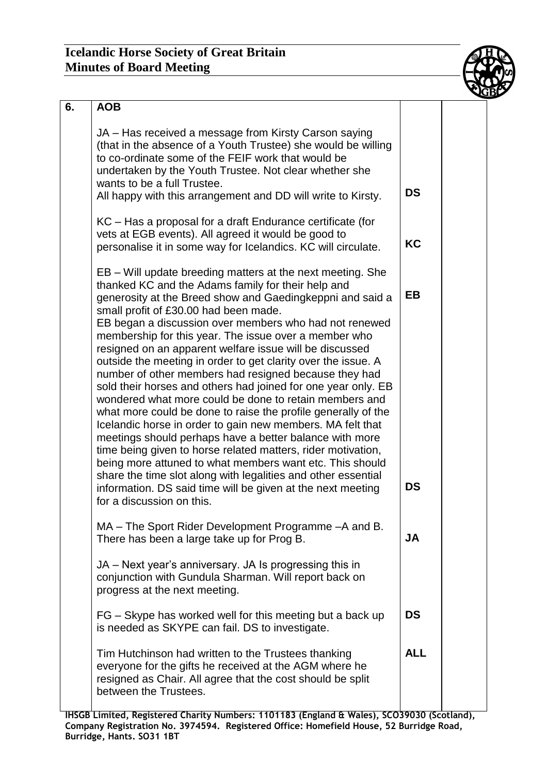

| 6. | <b>AOB</b>                                                                                                                                                                                                                                                                                                                                                                                                                                                                                                                                                                                                                                                                                                                                                                                                                                                                                                                                                                                                                                                                                                                                   |                 |  |
|----|----------------------------------------------------------------------------------------------------------------------------------------------------------------------------------------------------------------------------------------------------------------------------------------------------------------------------------------------------------------------------------------------------------------------------------------------------------------------------------------------------------------------------------------------------------------------------------------------------------------------------------------------------------------------------------------------------------------------------------------------------------------------------------------------------------------------------------------------------------------------------------------------------------------------------------------------------------------------------------------------------------------------------------------------------------------------------------------------------------------------------------------------|-----------------|--|
|    | JA – Has received a message from Kirsty Carson saying<br>(that in the absence of a Youth Trustee) she would be willing<br>to co-ordinate some of the FEIF work that would be<br>undertaken by the Youth Trustee. Not clear whether she<br>wants to be a full Trustee.<br>All happy with this arrangement and DD will write to Kirsty.                                                                                                                                                                                                                                                                                                                                                                                                                                                                                                                                                                                                                                                                                                                                                                                                        | <b>DS</b>       |  |
|    | KC – Has a proposal for a draft Endurance certificate (for<br>vets at EGB events). All agreed it would be good to<br>personalise it in some way for Icelandics. KC will circulate.                                                                                                                                                                                                                                                                                                                                                                                                                                                                                                                                                                                                                                                                                                                                                                                                                                                                                                                                                           | <b>KC</b>       |  |
|    | EB – Will update breeding matters at the next meeting. She<br>thanked KC and the Adams family for their help and<br>generosity at the Breed show and Gaedingkeppni and said a<br>small profit of £30.00 had been made.<br>EB began a discussion over members who had not renewed<br>membership for this year. The issue over a member who<br>resigned on an apparent welfare issue will be discussed<br>outside the meeting in order to get clarity over the issue. A<br>number of other members had resigned because they had<br>sold their horses and others had joined for one year only. EB<br>wondered what more could be done to retain members and<br>what more could be done to raise the profile generally of the<br>Icelandic horse in order to gain new members. MA felt that<br>meetings should perhaps have a better balance with more<br>time being given to horse related matters, rider motivation,<br>being more attuned to what members want etc. This should<br>share the time slot along with legalities and other essential<br>information. DS said time will be given at the next meeting<br>for a discussion on this. | EB<br><b>DS</b> |  |
|    | MA – The Sport Rider Development Programme – A and B.<br>There has been a large take up for Prog B.                                                                                                                                                                                                                                                                                                                                                                                                                                                                                                                                                                                                                                                                                                                                                                                                                                                                                                                                                                                                                                          | JA              |  |
|    | JA – Next year's anniversary. JA Is progressing this in<br>conjunction with Gundula Sharman. Will report back on<br>progress at the next meeting.                                                                                                                                                                                                                                                                                                                                                                                                                                                                                                                                                                                                                                                                                                                                                                                                                                                                                                                                                                                            |                 |  |
|    | FG – Skype has worked well for this meeting but a back up<br>is needed as SKYPE can fail. DS to investigate.                                                                                                                                                                                                                                                                                                                                                                                                                                                                                                                                                                                                                                                                                                                                                                                                                                                                                                                                                                                                                                 | <b>DS</b>       |  |
|    | Tim Hutchinson had written to the Trustees thanking<br>everyone for the gifts he received at the AGM where he<br>resigned as Chair. All agree that the cost should be split<br>between the Trustees.                                                                                                                                                                                                                                                                                                                                                                                                                                                                                                                                                                                                                                                                                                                                                                                                                                                                                                                                         | <b>ALL</b>      |  |